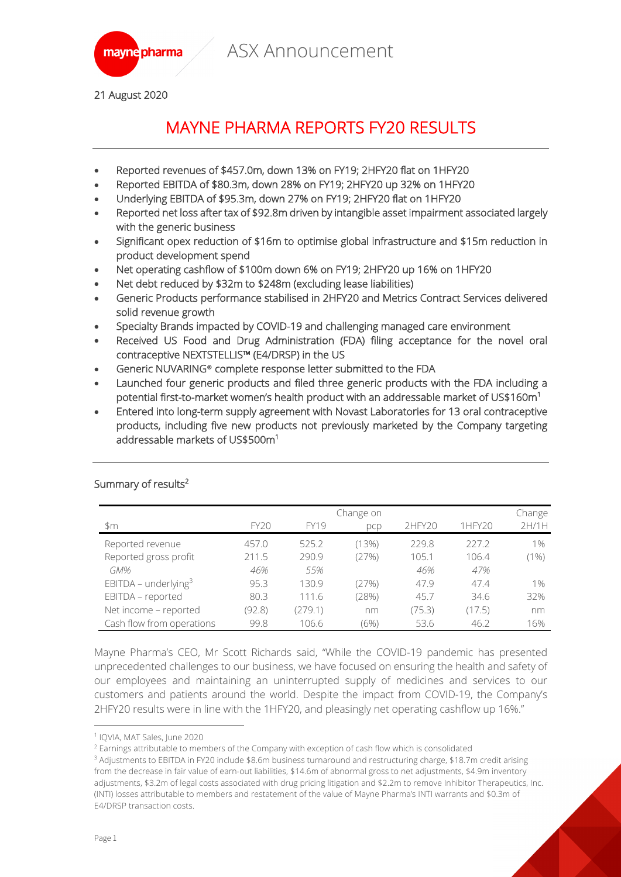

21 August 2020

## MAYNE PHARMA REPORTS FY20 RESULTS

- Reported revenues of \$457.0m, down 13% on FY19; 2HFY20 flat on 1HFY20
- Reported EBITDA of \$80.3m, down 28% on FY19; 2HFY20 up 32% on 1HFY20
- Underlying EBITDA of \$95.3m, down 27% on FY19; 2HFY20 flat on 1HFY20
- Reported net loss after tax of \$92.8m driven by intangible asset impairment associated largely with the generic business
- Significant opex reduction of \$16m to optimise global infrastructure and \$15m reduction in product development spend
- Net operating cashflow of \$100m down 6% on FY19; 2HFY20 up 16% on 1HFY20
- Net debt reduced by \$32m to \$248m (excluding lease liabilities)
- Generic Products performance stabilised in 2HFY20 and Metrics Contract Services delivered solid revenue growth
- Specialty Brands impacted by COVID-19 and challenging managed care environment
- Received US Food and Drug Administration (FDA) filing acceptance for the novel oral contraceptive NEXTSTELLIS™ (E4/DRSP) in the US
- Generic NUVARING**®** complete response letter submitted to the FDA
- Launched four generic products and filed three generic products with the FDA including a potential first-to-market women's health product with an addressable market of US\$160 $\mathsf{m}^1$
- Entered into long-term supply agreement with Novast Laboratories for 13 oral contraceptive products, including five new products not previously marketed by the Company targeting addressable markets of US\$500m<sup>1</sup>

|                           | Change on   |             |       |        |        | Change  |
|---------------------------|-------------|-------------|-------|--------|--------|---------|
| \$m                       | <b>FY20</b> | <b>FY19</b> | pcp   | 2HFY20 | 1HFY20 | 2H/1H   |
| Reported revenue          | 457.0       | 525.2       | (13%) | 229.8  | 227.2  | $1\%$   |
| Reported gross profit     | 211.5       | 290.9       | (27%) | 105.1  | 106.4  | $(1\%)$ |
| GM%                       | 46%         | 55%         |       | 46%    | 47%    |         |
| EBITDA – underlying $3$   | 95.3        | 130.9       | (27%) | 47.9   | 47.4   | 1%      |
| EBITDA - reported         | 80.3        | 111.6       | (28%) | 45.7   | 34.6   | 32%     |
| Net income - reported     | (92.8)      | (279.1)     | nm    | (75.3) | (17.5) | nm      |
| Cash flow from operations | 99.8        | 106.6       | (6%)  | 53.6   | 46.2   | 16%     |

#### Summary of results<sup>2</sup>

Mayne Pharma's CEO, Mr Scott Richards said, "While the COVID-19 pandemic has presented unprecedented challenges to our business, we have focused on ensuring the health and safety of our employees and maintaining an uninterrupted supply of medicines and services to our customers and patients around the world. Despite the impact from COVID-19, the Company's 2HFY20 results were in line with the 1HFY20, and pleasingly net operating cashflow up 16%."

<sup>1</sup> IQVIA, MAT Sales, June 2020

<sup>&</sup>lt;sup>2</sup> Earnings attributable to members of the Company with exception of cash flow which is consolidated

<sup>3</sup> Adjustments to EBITDA in FY20 include \$8.6m business turnaround and restructuring charge, \$18.7m credit arising from the decrease in fair value of earn-out liabilities, \$14.6m of abnormal gross to net adjustments, \$4.9m inventory adjustments, \$3.2m of legal costs associated with drug pricing litigation and \$2.2m to remove Inhibitor Therapeutics, Inc. (INTI) losses attributable to members and restatement of the value of Mayne Pharma's INTI warrants and \$0.3m of E4/DRSP transaction costs.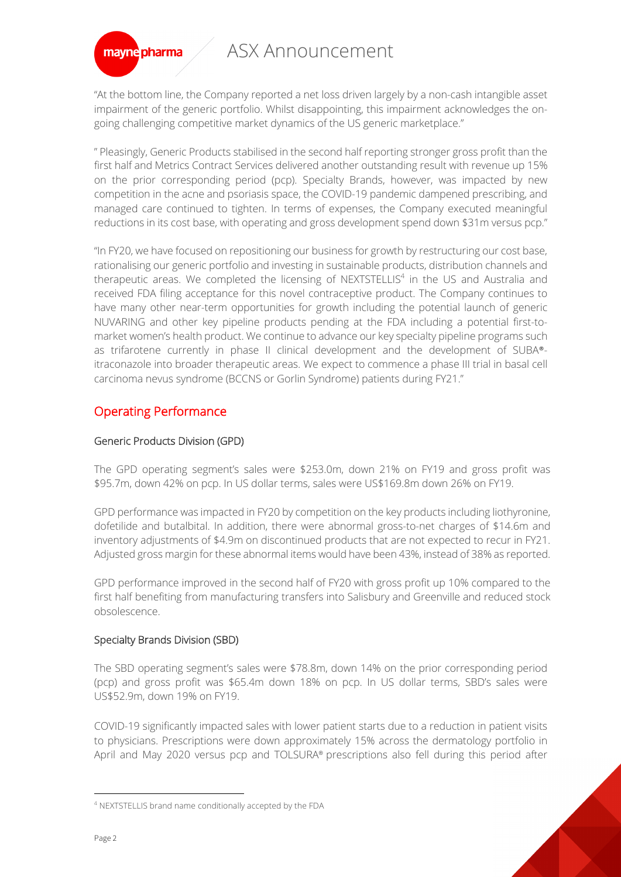

"At the bottom line, the Company reported a net loss driven largely by a non-cash intangible asset impairment of the generic portfolio. Whilst disappointing, this impairment acknowledges the ongoing challenging competitive market dynamics of the US generic marketplace."

" Pleasingly, Generic Products stabilised in the second half reporting stronger gross profit than the first half and Metrics Contract Services delivered another outstanding result with revenue up 15% on the prior corresponding period (pcp). Specialty Brands, however, was impacted by new competition in the acne and psoriasis space, the COVID-19 pandemic dampened prescribing, and managed care continued to tighten. In terms of expenses, the Company executed meaningful reductions in its cost base, with operating and gross development spend down \$31m versus pcp."

"In FY20, we have focused on repositioning our business for growth by restructuring our cost base, rationalising our generic portfolio and investing in sustainable products, distribution channels and therapeutic areas. We completed the licensing of NEXTSTELLIS<sup>4</sup> in the US and Australia and received FDA filing acceptance for this novel contraceptive product. The Company continues to have many other near-term opportunities for growth including the potential launch of generic NUVARING and other key pipeline products pending at the FDA including a potential first-tomarket women's health product. We continue to advance our key specialty pipeline programs such as trifarotene currently in phase II clinical development and the development of SUBA® itraconazole into broader therapeutic areas. We expect to commence a phase III trial in basal cell carcinoma nevus syndrome (BCCNS or Gorlin Syndrome) patients during FY21."

## Operating Performance

### Generic Products Division (GPD)

The GPD operating segment's sales were \$253.0m, down 21% on FY19 and gross profit was \$95.7m, down 42% on pcp. In US dollar terms, sales were US\$169.8m down 26% on FY19.

GPD performance was impacted in FY20 by competition on the key products including liothyronine, dofetilide and butalbital. In addition, there were abnormal gross-to-net charges of \$14.6m and inventory adjustments of \$4.9m on discontinued products that are not expected to recur in FY21. Adjusted gross margin for these abnormal items would have been 43%, instead of 38% as reported.

GPD performance improved in the second half of FY20 with gross profit up 10% compared to the first half benefiting from manufacturing transfers into Salisbury and Greenville and reduced stock obsolescence.

### Specialty Brands Division (SBD)

The SBD operating segment's sales were \$78.8m, down 14% on the prior corresponding period (pcp) and gross profit was \$65.4m down 18% on pcp. In US dollar terms, SBD's sales were US\$52.9m, down 19% on FY19.

COVID-19 significantly impacted sales with lower patient starts due to a reduction in patient visits to physicians. Prescriptions were down approximately 15% across the dermatology portfolio in April and May 2020 versus pcp and TOLSURA® prescriptions also fell during this period after

<sup>4</sup> NEXTSTELLIS brand name conditionally accepted by the FDA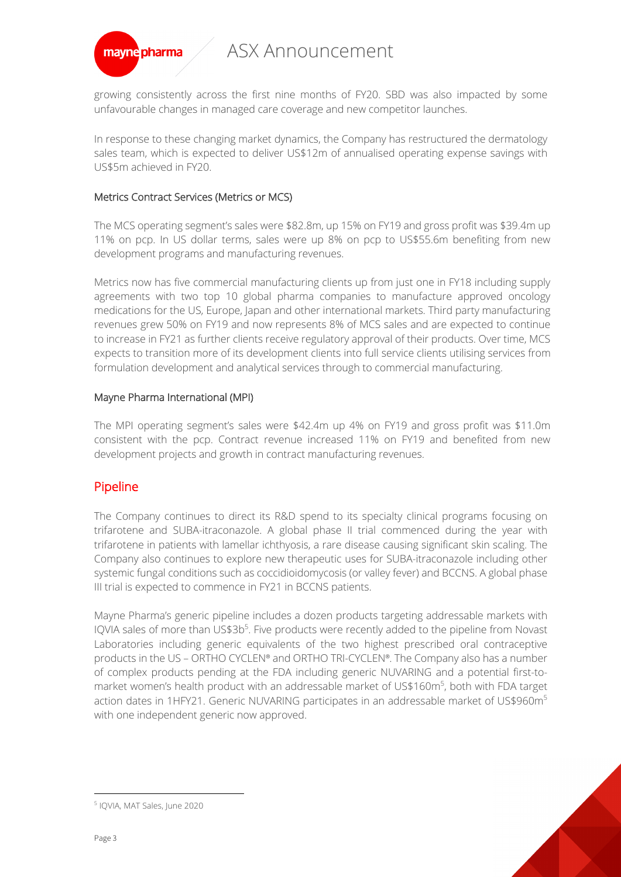

growing consistently across the first nine months of FY20. SBD was also impacted by some unfavourable changes in managed care coverage and new competitor launches.

In response to these changing market dynamics, the Company has restructured the dermatology sales team, which is expected to deliver US\$12m of annualised operating expense savings with US\$5m achieved in FY20.

#### Metrics Contract Services (Metrics or MCS)

The MCS operating segment's sales were \$82.8m, up 15% on FY19 and gross profit was \$39.4m up 11% on pcp. In US dollar terms, sales were up 8% on pcp to US\$55.6m benefiting from new development programs and manufacturing revenues.

Metrics now has five commercial manufacturing clients up from just one in FY18 including supply agreements with two top 10 global pharma companies to manufacture approved oncology medications for the US, Europe, Japan and other international markets. Third party manufacturing revenues grew 50% on FY19 and now represents 8% of MCS sales and are expected to continue to increase in FY21 as further clients receive regulatory approval of their products. Over time, MCS expects to transition more of its development clients into full service clients utilising services from formulation development and analytical services through to commercial manufacturing.

### Mayne Pharma International (MPI)

The MPI operating segment's sales were \$42.4m up 4% on FY19 and gross profit was \$11.0m consistent with the pcp. Contract revenue increased 11% on FY19 and benefited from new development projects and growth in contract manufacturing revenues.

## Pipeline

The Company continues to direct its R&D spend to its specialty clinical programs focusing on trifarotene and SUBA-itraconazole. A global phase II trial commenced during the year with trifarotene in patients with lamellar ichthyosis, a rare disease causing significant skin scaling. The Company also continues to explore new therapeutic uses for SUBA-itraconazole including other systemic fungal conditions such as coccidioidomycosis (or valley fever) and BCCNS. A global phase III trial is expected to commence in FY21 in BCCNS patients.

Mayne Pharma's generic pipeline includes a dozen products targeting addressable markets with IQVIA sales of more than US\$3b<sup>5</sup>. Five products were recently added to the pipeline from Novast Laboratories including generic equivalents of the two highest prescribed oral contraceptive products in the US – ORTHO CYCLEN® and ORTHO TRI-CYCLEN®. The Company also has a number of complex products pending at the FDA including generic NUVARING and a potential first-tomarket women's health product with an addressable market of US\$160m<sup>5</sup>, both with FDA target action dates in 1HFY21. Generic NUVARING participates in an addressable market of US\$960m<sup>5</sup> with one independent generic now approved.

<sup>5</sup> IQVIA, MAT Sales, June 2020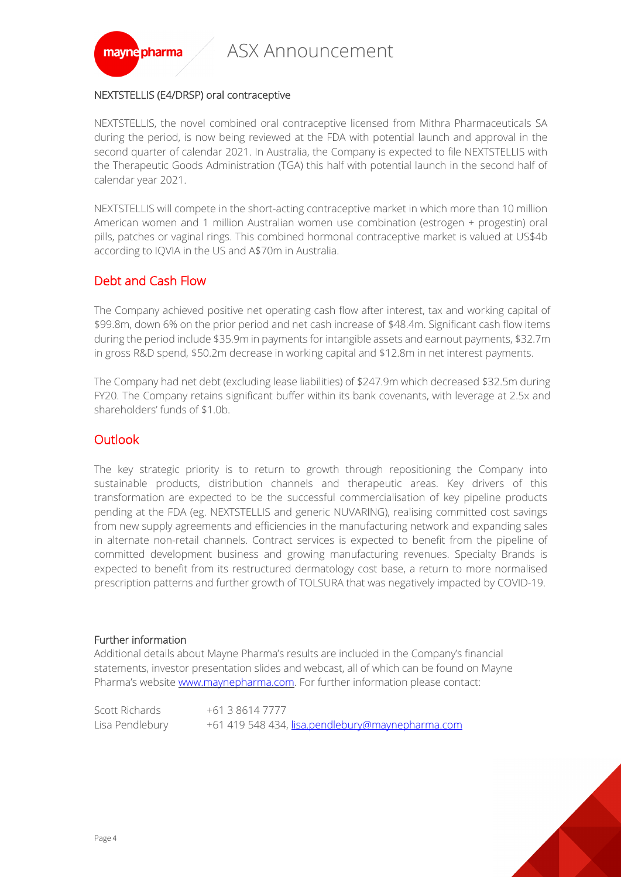

### NEXTSTELLIS (E4/DRSP) oral contraceptive

NEXTSTELLIS, the novel combined oral contraceptive licensed from Mithra Pharmaceuticals SA during the period, is now being reviewed at the FDA with potential launch and approval in the second quarter of calendar 2021. In Australia, the Company is expected to file NEXTSTELLIS with the Therapeutic Goods Administration (TGA) this half with potential launch in the second half of calendar year 2021.

NEXTSTELLIS will compete in the short-acting contraceptive market in which more than 10 million American women and 1 million Australian women use combination (estrogen + progestin) oral pills, patches or vaginal rings. This combined hormonal contraceptive market is valued at US\$4b according to IQVIA in the US and A\$70m in Australia.

## Debt and Cash Flow

The Company achieved positive net operating cash flow after interest, tax and working capital of \$99.8m, down 6% on the prior period and net cash increase of \$48.4m. Significant cash flow items during the period include \$35.9m in payments for intangible assets and earnout payments, \$32.7m in gross R&D spend, \$50.2m decrease in working capital and \$12.8m in net interest payments.

The Company had net debt (excluding lease liabilities) of \$247.9m which decreased \$32.5m during FY20. The Company retains significant buffer within its bank covenants, with leverage at 2.5x and shareholders' funds of \$1.0b.

## **Outlook**

The key strategic priority is to return to growth through repositioning the Company into sustainable products, distribution channels and therapeutic areas. Key drivers of this transformation are expected to be the successful commercialisation of key pipeline products pending at the FDA (eg. NEXTSTELLIS and generic NUVARING), realising committed cost savings from new supply agreements and efficiencies in the manufacturing network and expanding sales in alternate non-retail channels. Contract services is expected to benefit from the pipeline of committed development business and growing manufacturing revenues. Specialty Brands is expected to benefit from its restructured dermatology cost base, a return to more normalised prescription patterns and further growth of TOLSURA that was negatively impacted by COVID-19.

#### Further information

Additional details about Mayne Pharma's results are included in the Company's financial statements, investor presentation slides and webcast, all of which can be found on Mayne Pharma's website www.maynepharma.com. For further information please contact:

Scott Richards +61 3 8614 7777 Lisa Pendlebury +61 419 548 434, lisa.pendlebury@maynepharma.com